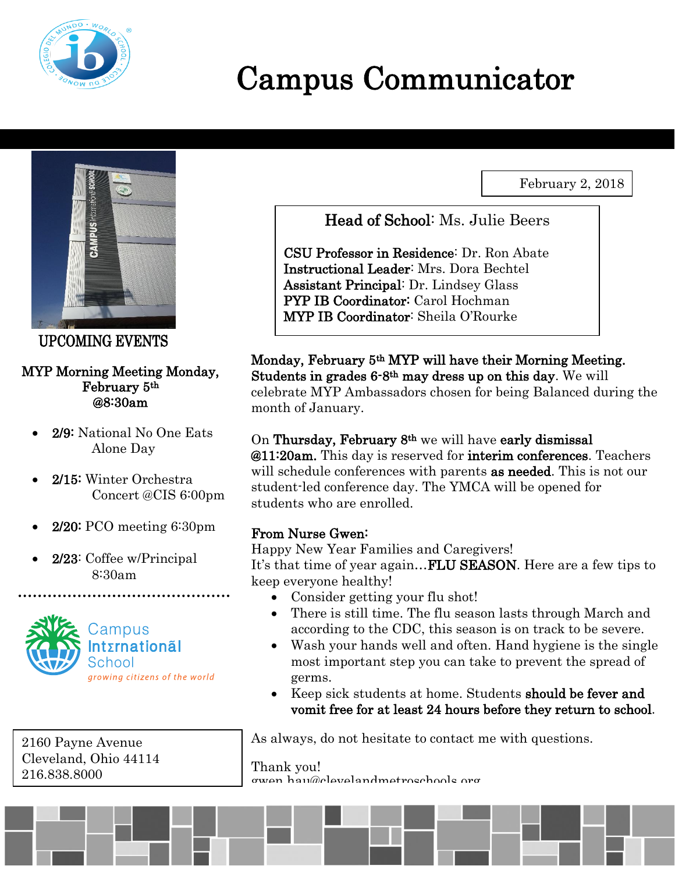

# Campus Communicator

February 2, 2018



UPCOMING EVENTS

#### MYP Morning Meeting Monday, February 5th @8:30am

- 2/9: National No One Eats Alone Day
- 2/15: Winter Orchestra Concert @CIS 6:00pm
- 2/20: PCO meeting 6:30pm
- 2/23: Coffee w/Principal 8:30am



2160 Payne Avenue Cleveland, Ohio 44114 216.838.8000

Head of School: Ms. Julie Beers

CSU Professor in Residence: Dr. Ron Abate Instructional Leader: Mrs. Dora Bechtel Assistant Principal: Dr. Lindsey Glass PYP IB Coordinator: Carol Hochman MYP IB Coordinator: Sheila O'Rourke

Monday, February 5th MYP will have their Morning Meeting. Students in grades 6-8th may dress up on this day. We will celebrate MYP Ambassadors chosen for being Balanced during the month of January.

On Thursday, February 8th we will have early dismissal @11:20am. This day is reserved for interim conferences. Teachers will schedule conferences with parents **as needed**. This is not our student-led conference day. The YMCA will be opened for students who are enrolled.

### From Nurse Gwen:

Happy New Year Families and Caregivers! It's that time of year again...**FLU SEASON**. Here are a few tips to keep everyone healthy!

- Consider getting your flu shot!
- There is still time. The flu season lasts through March and according to the CDC, this season is on track to be severe.
- Wash your hands well and often. Hand hygiene is the single most important step you can take to prevent the spread of germs.
- Keep sick students at home. Students should be fever and vomit free for at least 24 hours before they return to school.

As always, do not hesitate to contact me with questions.

Thank you! gwen.hau@clevelandmetroschools.org